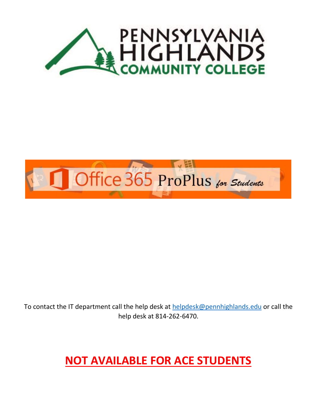



To contact the IT department call the help desk at [helpdesk@pennhighlands.edu](mailto:helpdesk@pennhighlands.edu) or call the help desk at 814-262-6470.

## **NOT AVAILABLE FOR ACE STUDENTS**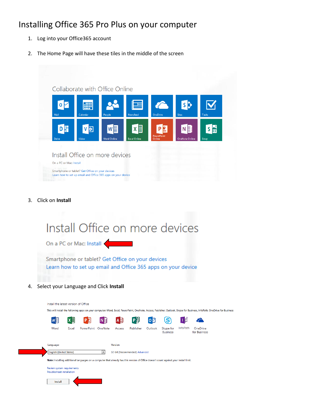## Installing Office 365 Pro Plus on your computer

- 1. Log into your Office365 account
- 2. The Home Page will have these tiles in the middle of the screen

| s<br><b>AND</b><br>≡<br><b>Newsfeed</b><br><b>OneDrive</b><br><b>Sites</b><br>Tasks<br>Calendar<br>People<br>x目<br>NE<br>P≌<br>w≣l<br>쓸<br>S<br>D<br>PowerPoint<br>Video<br>Sway<br><b>Word Online</b><br><b>Excel Online</b><br><b>OneNote Online</b><br>Online<br>Install Office on more devices |              | Collaborate with Office Online                                                                                   |  |  |  |
|----------------------------------------------------------------------------------------------------------------------------------------------------------------------------------------------------------------------------------------------------------------------------------------------------|--------------|------------------------------------------------------------------------------------------------------------------|--|--|--|
|                                                                                                                                                                                                                                                                                                    | Mail         |                                                                                                                  |  |  |  |
|                                                                                                                                                                                                                                                                                                    | DH           |                                                                                                                  |  |  |  |
|                                                                                                                                                                                                                                                                                                    | <b>Delve</b> |                                                                                                                  |  |  |  |
|                                                                                                                                                                                                                                                                                                    |              |                                                                                                                  |  |  |  |
|                                                                                                                                                                                                                                                                                                    |              | Smartphone or tablet? Get Office on your devices<br>Learn how to set up email and Office 365 apps on your device |  |  |  |

3. Click on **Install**

|    |                                                            | Install Office on more devices                                                                                                                                           |                               |                                          |                          |
|----|------------------------------------------------------------|--------------------------------------------------------------------------------------------------------------------------------------------------------------------------|-------------------------------|------------------------------------------|--------------------------|
|    | On a PC or Mac: Install                                    |                                                                                                                                                                          |                               |                                          |                          |
|    |                                                            | Smartphone or tablet? Get Office on your devices<br>Learn how to set up email and Office 365 apps on your device                                                         |                               |                                          |                          |
| 4. | <b>SOMETIMES</b><br>Select your Language and Click Install |                                                                                                                                                                          |                               |                                          |                          |
|    |                                                            |                                                                                                                                                                          |                               |                                          |                          |
|    | Install the latest version of Office                       |                                                                                                                                                                          |                               |                                          |                          |
|    |                                                            | This will install the following apps on your computer: Word, Excel, PowerPoint, OneNote, Access, Publisher, Outlook, Skype for Business, InfoPath, OneDrive for Business |                               |                                          |                          |
|    |                                                            | A B                                                                                                                                                                      |                               | 囘                                        |                          |
|    | Word<br>Excel                                              | PowerPoint OneNote<br>Access                                                                                                                                             | Publisher<br>Outlook          | InfoPath<br>Skype for<br><b>Business</b> | OneDrive<br>for Business |
|    | Language:                                                  | Version:                                                                                                                                                                 |                               |                                          |                          |
|    | <b>English (United States)</b>                             | $\blacktriangledown$                                                                                                                                                     | 32-bit (Recommended) Advanced |                                          |                          |
|    |                                                            | Note: Installing additional languages on a computer that already has this version of Office doesn't count against your install limit.                                    |                               |                                          |                          |
|    | Review system requirements<br>Troubleshoot installation    |                                                                                                                                                                          |                               |                                          |                          |
|    | Install                                                    |                                                                                                                                                                          |                               |                                          |                          |
|    |                                                            |                                                                                                                                                                          |                               |                                          |                          |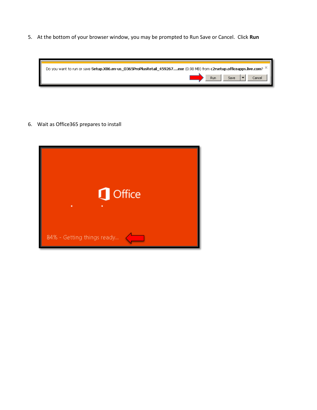5. At the bottom of your browser window, you may be prompted to Run Save or Cancel. Click **Run**



6. Wait as Office365 prepares to install

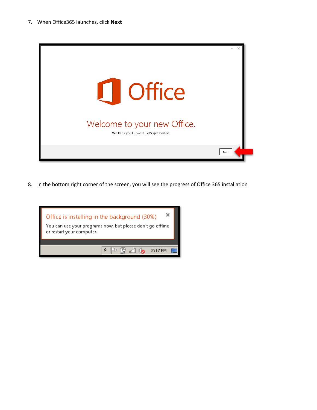

8. In the bottom right corner of the screen, you will see the progress of Office 365 installation

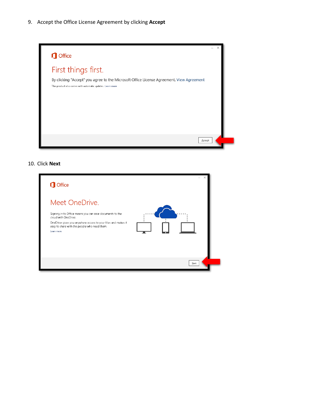9. Accept the Office License Agreement by clicking **Accept**



## 10. Click **Next**

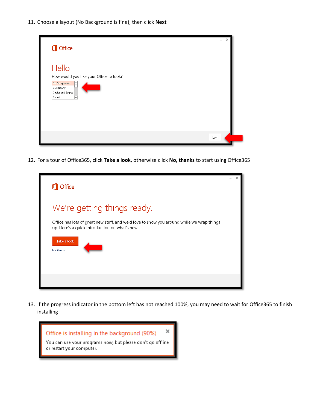11. Choose a layout (No Background is fine), then click **Next**

| <b>I</b> Office                                                                                                              |      |
|------------------------------------------------------------------------------------------------------------------------------|------|
| Hello<br>How would you like your Office to look?<br>No Background<br>▲<br>Calligraphy<br>Circles and Stripes<br>Circuit<br>≂ |      |
|                                                                                                                              | Next |

12. For a tour of Office365, click **Take a look**, otherwise click **No, thanks** to start using Office365

| <b>Office</b>                                                                                                                               |  |
|---------------------------------------------------------------------------------------------------------------------------------------------|--|
| We're getting things ready.                                                                                                                 |  |
| Office has lots of great new stuff, and we'd love to show you around while we wrap things<br>up. Here's a quick introduction on what's new. |  |
| <b>Take a look</b><br>No, thanks                                                                                                            |  |
|                                                                                                                                             |  |

13. If the progress indicator in the bottom left has not reached 100%, you may need to wait for Office365 to finish installing